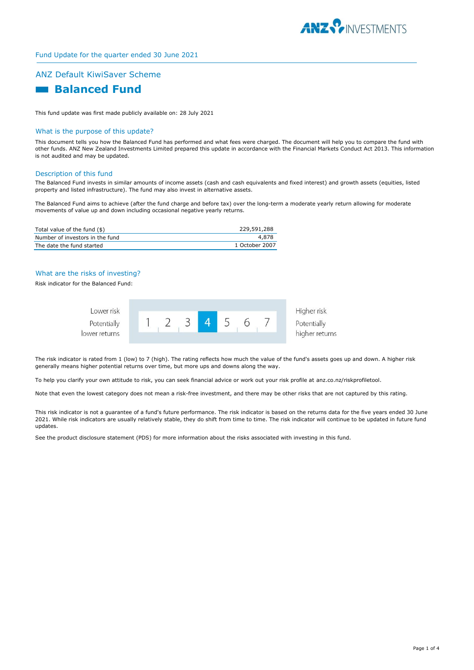

# Fund Update for the quarter ended 30 June 2021

### ANZ Default KiwiSaver Scheme

# **Ralanced Fund**

This fund update was first made publicly available on: 28 July 2021

#### What is the purpose of this update?

This document tells you how the Balanced Fund has performed and what fees were charged. The document will help you to compare the fund with other funds. ANZ New Zealand Investments Limited prepared this update in accordance with the Financial Markets Conduct Act 2013. This information is not audited and may be updated.

#### Description of this fund

The Balanced Fund invests in similar amounts of income assets (cash and cash equivalents and fixed interest) and growth assets (equities, listed property and listed infrastructure). The fund may also invest in alternative assets.

The Balanced Fund aims to achieve (after the fund charge and before tax) over the long-term a moderate yearly return allowing for moderate movements of value up and down including occasional negative yearly returns.

| Total value of the fund (\$)    | 229,591,288    |
|---------------------------------|----------------|
| Number of investors in the fund | 4.878          |
| The date the fund started       | 1 October 2007 |

#### What are the risks of investing?

Risk indicator for the Balanced Fund:



The risk indicator is rated from 1 (low) to 7 (high). The rating reflects how much the value of the fund's assets goes up and down. A higher risk generally means higher potential returns over time, but more ups and downs along the way.

To help you clarify your own attitude to risk, you can seek financial advice or work out your risk profile at anz.co.nz/riskprofiletool.

Note that even the lowest category does not mean a risk-free investment, and there may be other risks that are not captured by this rating.

This risk indicator is not a guarantee of a fund's future performance. The risk indicator is based on the returns data for the five years ended 30 June 2021. While risk indicators are usually relatively stable, they do shift from time to time. The risk indicator will continue to be updated in future fund updates.

See the product disclosure statement (PDS) for more information about the risks associated with investing in this fund.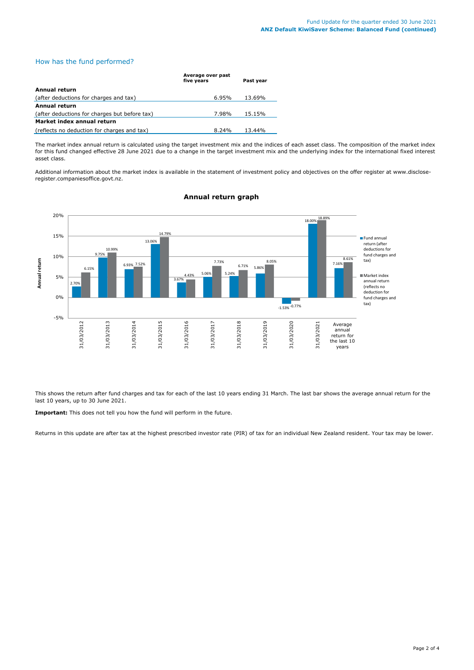#### How has the fund performed?

|                                               | Average over past<br>five years | Past year |
|-----------------------------------------------|---------------------------------|-----------|
| Annual return                                 |                                 |           |
| (after deductions for charges and tax)        | 6.95%                           | 13.69%    |
| <b>Annual return</b>                          |                                 |           |
| (after deductions for charges but before tax) | 7.98%                           | 15.15%    |
| Market index annual return                    |                                 |           |
| (reflects no deduction for charges and tax)   | $8.24\%$                        | 13.44%    |

The market index annual return is calculated using the target investment mix and the indices of each asset class. The composition of the market index for this fund changed effective 28 June 2021 due to a change in the target investment mix and the underlying index for the international fixed interest asset class.

Additional information about the market index is available in the statement of investment policy and objectives on the offer register at www.discloseregister.companiesoffice.govt.nz.



#### **Annual return graph**

This shows the return after fund charges and tax for each of the last 10 years ending 31 March. The last bar shows the average annual return for the last 10 years, up to 30 June 2021.

**Important:** This does not tell you how the fund will perform in the future.

Returns in this update are after tax at the highest prescribed investor rate (PIR) of tax for an individual New Zealand resident. Your tax may be lower.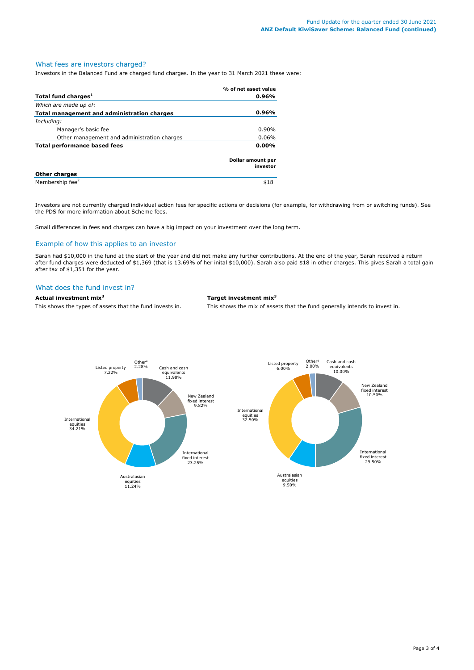## What fees are investors charged?

Investors in the Balanced Fund are charged fund charges. In the year to 31 March 2021 these were:

|                                             | % of net asset value          |
|---------------------------------------------|-------------------------------|
| Total fund charges <sup>1</sup>             | 0.96%                         |
| Which are made up of:                       |                               |
| Total management and administration charges | 0.96%                         |
| Including:                                  |                               |
| Manager's basic fee                         | $0.90\%$                      |
| Other management and administration charges | $0.06\%$                      |
| <b>Total performance based fees</b>         | $0.00\%$                      |
|                                             | Dollar amount per<br>investor |
| <b>Other charges</b>                        |                               |
| Membership fee <sup>2</sup>                 | \$18                          |

Investors are not currently charged individual action fees for specific actions or decisions (for example, for withdrawing from or switching funds). See the PDS for more information about Scheme fees.

Small differences in fees and charges can have a big impact on your investment over the long term.

#### Example of how this applies to an investor

Sarah had \$10,000 in the fund at the start of the year and did not make any further contributions. At the end of the year, Sarah received a return after fund charges were deducted of \$1,369 (that is 13.69% of her inital \$10,000). Sarah also paid \$18 in other charges. This gives Sarah a total gain after tax of \$1,351 for the year.

#### What does the fund invest in?

**Actual investment mix<sup>3</sup> Target investment mix<sup>3</sup>**

This shows the types of assets that the fund invests in. This shows the mix of assets that the fund generally intends to invest in.